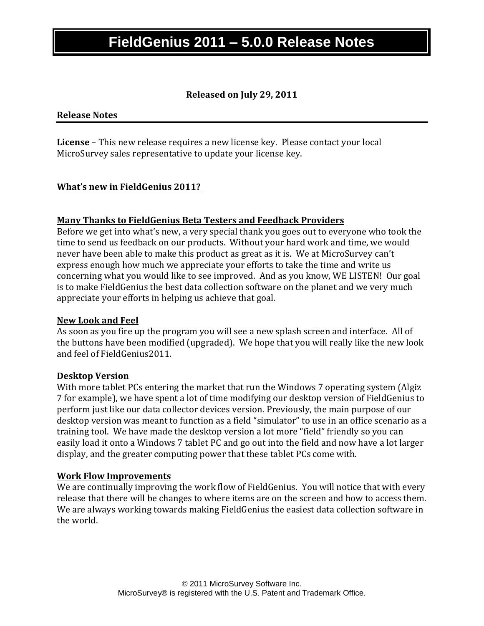## **Released on July 29, 2011**

### **Release Notes**

**License** – This new release requires a new license key. Please contact your local MicroSurvey sales representative to update your license key.

### **What's new in FieldGenius 2011?**

#### **Many Thanks to FieldGenius Beta Testers and Feedback Providers**

Before we get into what's new, a very special thank you goes out to everyone who took the time to send us feedback on our products. Without your hard work and time, we would never have been able to make this product as great as it is. We at MicroSurvey can't express enough how much we appreciate your efforts to take the time and write us concerning what you would like to see improved. And as you know, WE LISTEN! Our goal is to make FieldGenius the best data collection software on the planet and we very much appreciate your efforts in helping us achieve that goal.

#### **New Look and Feel**

As soon as you fire up the program you will see a new splash screen and interface. All of the buttons have been modified (upgraded). We hope that you will really like the new look and feel of FieldGenius2011.

#### **Desktop Version**

With more tablet PCs entering the market that run the Windows 7 operating system (Algiz 7 for example), we have spent a lot of time modifying our desktop version of FieldGenius to perform just like our data collector devices version. Previously, the main purpose of our desktop version was meant to function as a field "simulator" to use in an office scenario as a training tool. We have made the desktop version a lot more "field" friendly so you can easily load it onto a Windows 7 tablet PC and go out into the field and now have a lot larger display, and the greater computing power that these tablet PCs come with.

#### **Work Flow Improvements**

We are continually improving the work flow of FieldGenius. You will notice that with every release that there will be changes to where items are on the screen and how to access them. We are always working towards making FieldGenius the easiest data collection software in the world.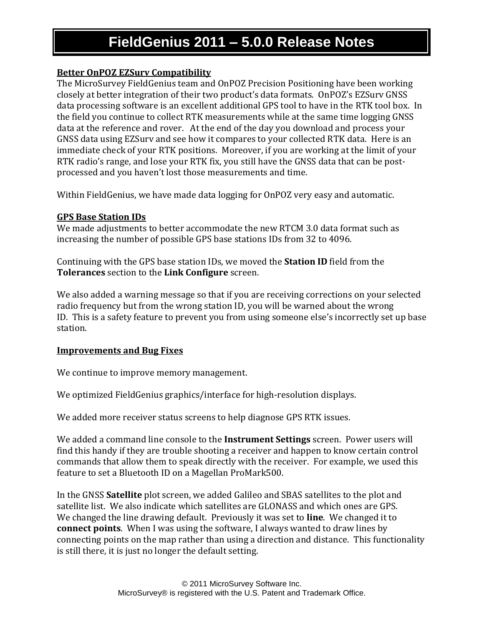## **Better OnPOZ EZSurv Compatibility**

The MicroSurvey FieldGenius team and OnPOZ Precision Positioning have been working closely at better integration of their two product's data formats. OnPOZ's EZSurv GNSS data processing software is an excellent additional GPS tool to have in the RTK tool box. In the field you continue to collect RTK measurements while at the same time logging GNSS data at the reference and rover. At the end of the day you download and process your GNSS data using EZSurv and see how it compares to your collected RTK data. Here is an immediate check of your RTK positions. Moreover, if you are working at the limit of your RTK radio's range, and lose your RTK fix, you still have the GNSS data that can be postprocessed and you haven't lost those measurements and time.

Within FieldGenius, we have made data logging for OnPOZ very easy and automatic.

## **GPS Base Station IDs**

We made adjustments to better accommodate the new RTCM 3.0 data format such as increasing the number of possible GPS base stations IDs from 32 to 4096.

Continuing with the GPS base station IDs, we moved the **Station ID** field from the **Tolerances** section to the **Link Configure** screen.

We also added a warning message so that if you are receiving corrections on your selected radio frequency but from the wrong station ID, you will be warned about the wrong ID. This is a safety feature to prevent you from using someone else's incorrectly set up base station.

## **Improvements and Bug Fixes**

We continue to improve memory management.

We optimized FieldGenius graphics/interface for high-resolution displays.

We added more receiver status screens to help diagnose GPS RTK issues.

We added a command line console to the **Instrument Settings** screen. Power users will find this handy if they are trouble shooting a receiver and happen to know certain control commands that allow them to speak directly with the receiver. For example, we used this feature to set a Bluetooth ID on a Magellan ProMark500.

In the GNSS **Satellite** plot screen, we added Galileo and SBAS satellites to the plot and satellite list. We also indicate which satellites are GLONASS and which ones are GPS. We changed the line drawing default. Previously it was set to **line**. We changed it to **connect points**. When I was using the software, I always wanted to draw lines by connecting points on the map rather than using a direction and distance. This functionality is still there, it is just no longer the default setting.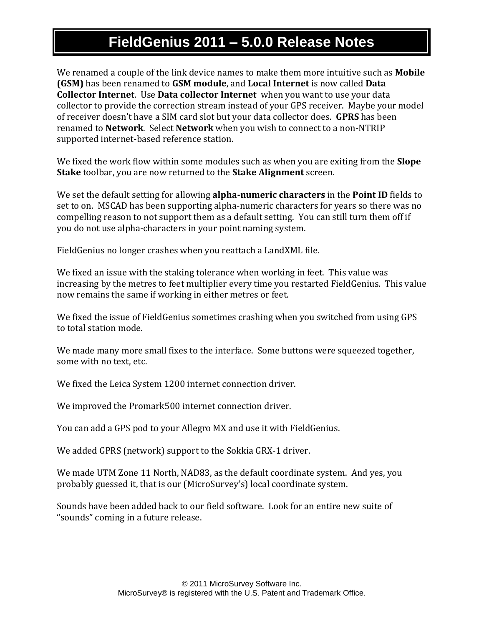We renamed a couple of the link device names to make them more intuitive such as **Mobile (GSM)** has been renamed to **GSM module**, and **Local Internet** is now called **Data Collector Internet**. Use **Data collector Internet** when you want to use your data collector to provide the correction stream instead of your GPS receiver. Maybe your model of receiver doesn't have a SIM card slot but your data collector does. **GPRS** has been renamed to **Network**. Select **Network** when you wish to connect to a non-NTRIP supported internet-based reference station.

We fixed the work flow within some modules such as when you are exiting from the **Slope Stake** toolbar, you are now returned to the **Stake Alignment** screen.

We set the default setting for allowing **alpha-numeric characters** in the **Point ID** fields to set to on. MSCAD has been supporting alpha-numeric characters for years so there was no compelling reason to not support them as a default setting. You can still turn them off if you do not use alpha-characters in your point naming system.

FieldGenius no longer crashes when you reattach a LandXML file.

We fixed an issue with the staking tolerance when working in feet. This value was increasing by the metres to feet multiplier every time you restarted FieldGenius. This value now remains the same if working in either metres or feet.

We fixed the issue of FieldGenius sometimes crashing when you switched from using GPS to total station mode.

We made many more small fixes to the interface. Some buttons were squeezed together, some with no text, etc.

We fixed the Leica System 1200 internet connection driver.

We improved the Promark500 internet connection driver.

You can add a GPS pod to your Allegro MX and use it with FieldGenius.

We added GPRS (network) support to the Sokkia GRX-1 driver.

We made UTM Zone 11 North, NAD83, as the default coordinate system. And yes, you probably guessed it, that is our (MicroSurvey's) local coordinate system.

Sounds have been added back to our field software. Look for an entire new suite of "sounds" coming in a future release.